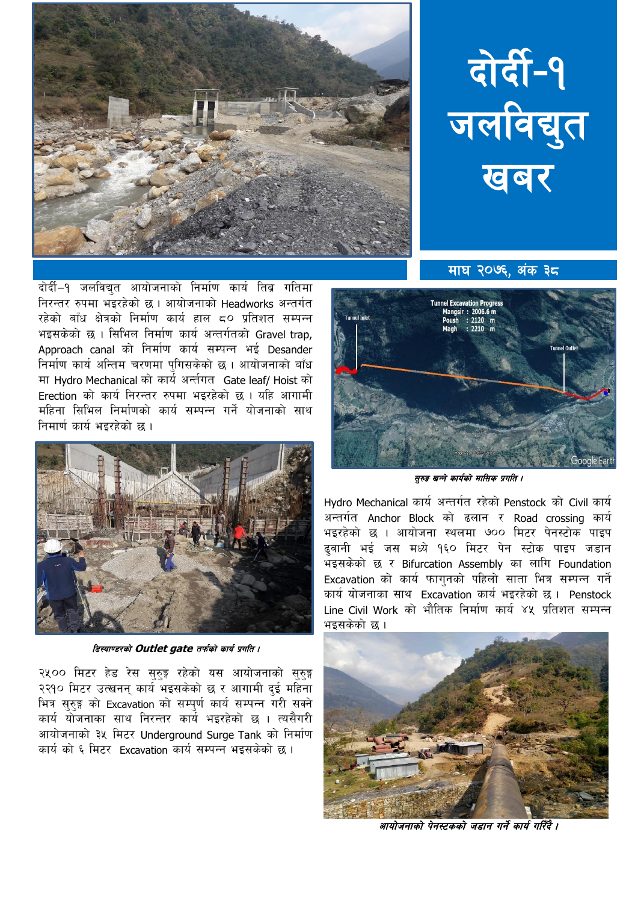



दोर्दी–१ जलविद्यत आयोजनाको निर्माण कार्य तिब्र गतिमा निरन्तर रुपमा भइरहेको छ । आयोजनाको Headworks अन्तर्गत रहेको बाँध क्षेत्रको निर्माण कार्य हाल 50 प्रतिशत सम्पन्न भइसकेको छ। सिभिल निर्माण कार्य अन्तर्गतको Gravel trap. Approach canal को निर्माण कार्य सम्पन्न भई Desander निर्माण कार्य अन्तिम चरणमा पुगिसकेको छ । आयोजनाको बाँध मा Hydro Mechanical को कार्य अर्न्तगत Gate leaf/ Hoist को Erection को कार्य निरन्तर रुपमा भइरहेको छ। यहि आगामी महिना सिभिल निर्माणको कार्य सम्पन्न गर्ने योजनाको साथ निमार्ण कार्य भइरहेको छ ।



डिस्याण्डरको Outlet gate तर्फको कार्य प्रगति ।

२५०० मिटर हेड रेस सुरुङ्ग रहेको यस आयोजनाको सुरुङ्ग २२१० मिटर उत्खनन कार्य भइसकेको छ र आगामी दई महिना भित्र सुरुङ्ग को Excavation को सम्पूर्ण कार्य सम्पन्न गरी सक्ने कार्य योजनाका साथ निरन्तर कार्य भइरहेको छ । त्यसैगरी आयोजनाको ३५ मिटर Underaround Surge Tank को निर्माण कार्य को ६ मिटर Excavation कार्य सम्पन्न भइसकेको छ ।

माघ २०७६. अंक ३८



सुरुङ खन्ने कार्यको मासिक प्रगति ।

Hydro Mechanical कार्य अन्तर्गत रहेको Penstock को Civil कार्य अन्तर्गत Anchor Block को ढलान र Road crossing कार्य भइरहेको छ । आयोजना स्थलमा ७०० मिटर पेनस्टोक पाइप ढवानी भई जस मध्ये १६० मिटर पेन स्टोक पाइप जडान भइसकेको छ र Bifurcation Assembly का लागि Foundation Excavation को कार्य फागुनको पहिलो साता भित्र सम्पन्न गर्ने कार्य योजनाका साथ Excavation कार्य भइरहेको छ । Penstock Line Civil Work को भौतिक निर्माण कार्य ४५ प्रतिशत सम्पन्न भइसकेको छ ।



आयोजनाको पेनस्टकको जडान गर्ने कार्य गरिँदै ।